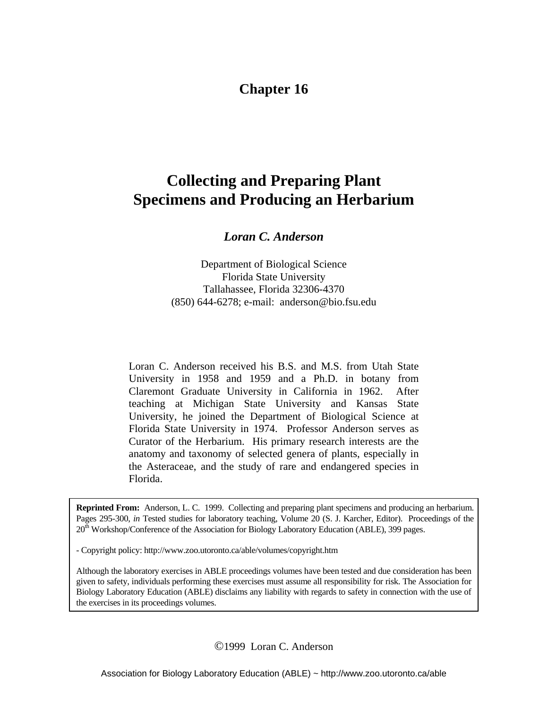# **Chapter 16**

# **Collecting and Preparing Plant Specimens and Producing an Herbarium**

*Loran C. Anderson* 

Department of Biological Science Florida State University Tallahassee, Florida 32306-4370 (850) 644-6278; e-mail: anderson@bio.fsu.edu

Loran C. Anderson received his B.S. and M.S. from Utah State University in 1958 and 1959 and a Ph.D. in botany from Claremont Graduate University in California in 1962. After teaching at Michigan State University and Kansas State University, he joined the Department of Biological Science at Florida State University in 1974. Professor Anderson serves as Curator of the Herbarium. His primary research interests are the anatomy and taxonomy of selected genera of plants, especially in the Asteraceae, and the study of rare and endangered species in Florida.

**Reprinted From:** Anderson, L. C. 1999. Collecting and preparing plant specimens and producing an herbarium. Pages 295-300, *in* Tested studies for laboratory teaching, Volume 20 (S. J. Karcher, Editor). Proceedings of the 20<sup>th</sup> Workshop/Conference of the Association for Biology Laboratory Education (ABLE), 399 pages.

- Copyright policy: http://www.zoo.utoronto.ca/able/volumes/copyright.htm

Although the laboratory exercises in ABLE proceedings volumes have been tested and due consideration has been given to safety, individuals performing these exercises must assume all responsibility for risk. The Association for Biology Laboratory Education (ABLE) disclaims any liability with regards to safety in connection with the use of the exercises in its proceedings volumes.

©1999 Loran C. Anderson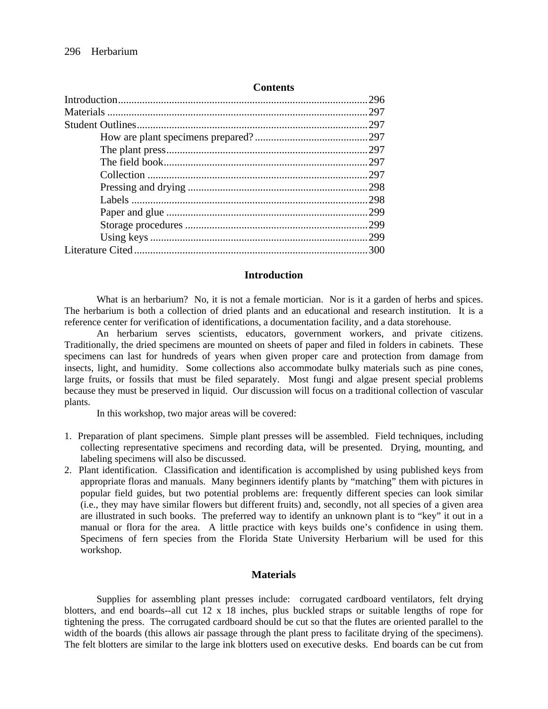#### **Contents**

#### **Introduction**

 What is an herbarium?No, it is not a female mortician. Nor is it a garden of herbs and spices. The herbarium is both a collection of dried plants and an educational and research institution. It is a reference center for verification of identifications, a documentation facility, and a data storehouse.

An herbarium serves scientists, educators, government workers, and private citizens. Traditionally, the dried specimens are mounted on sheets of paper and filed in folders in cabinets. These specimens can last for hundreds of years when given proper care and protection from damage from insects, light, and humidity. Some collections also accommodate bulky materials such as pine cones, large fruits, or fossils that must be filed separately. Most fungi and algae present special problems because they must be preserved in liquid. Our discussion will focus on a traditional collection of vascular plants.

In this workshop, two major areas will be covered:

- 1. Preparation of plant specimens. Simple plant presses will be assembled. Field techniques, including collecting representative specimens and recording data, will be presented. Drying, mounting, and labeling specimens will also be discussed.
- 2. Plant identification. Classification and identification is accomplished by using published keys from appropriate floras and manuals. Many beginners identify plants by "matching" them with pictures in popular field guides, but two potential problems are: frequently different species can look similar (i.e., they may have similar flowers but different fruits) and, secondly, not all species of a given area are illustrated in such books. The preferred way to identify an unknown plant is to "key" it out in a manual or flora for the area. A little practice with keys builds one's confidence in using them. Specimens of fern species from the Florida State University Herbarium will be used for this workshop.

## **Materials**

Supplies for assembling plant presses include: corrugated cardboard ventilators, felt drying blotters, and end boards--all cut 12 x 18 inches, plus buckled straps or suitable lengths of rope for tightening the press. The corrugated cardboard should be cut so that the flutes are oriented parallel to the width of the boards (this allows air passage through the plant press to facilitate drying of the specimens). The felt blotters are similar to the large ink blotters used on executive desks. End boards can be cut from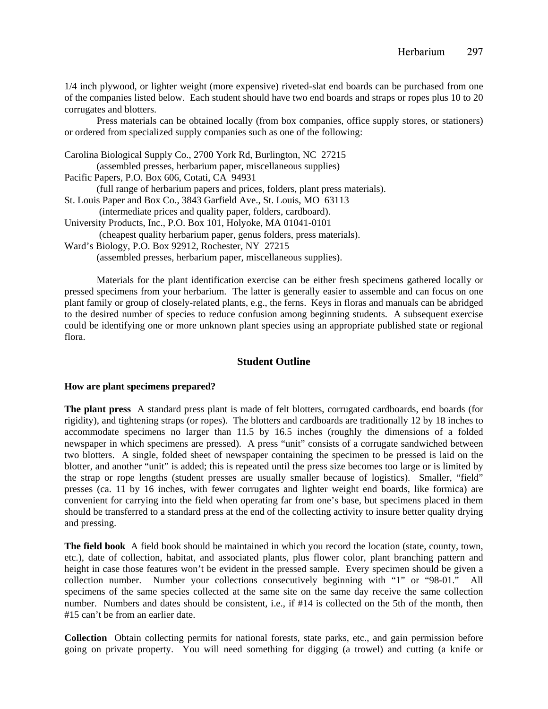1/4 inch plywood, or lighter weight (more expensive) riveted-slat end boards can be purchased from one of the companies listed below. Each student should have two end boards and straps or ropes plus 10 to 20 corrugates and blotters.

 Press materials can be obtained locally (from box companies, office supply stores, or stationers) or ordered from specialized supply companies such as one of the following:

 Materials for the plant identification exercise can be either fresh specimens gathered locally or pressed specimens from your herbarium. The latter is generally easier to assemble and can focus on one plant family or group of closely-related plants, e.g., the ferns. Keys in floras and manuals can be abridged to the desired number of species to reduce confusion among beginning students. A subsequent exercise could be identifying one or more unknown plant species using an appropriate published state or regional flora.

## **Student Outline**

#### **How are plant specimens prepared?**

**The plant press** A standard press plant is made of felt blotters, corrugated cardboards, end boards (for rigidity), and tightening straps (or ropes). The blotters and cardboards are traditionally 12 by 18 inches to accommodate specimens no larger than 11.5 by 16.5 inches (roughly the dimensions of a folded newspaper in which specimens are pressed). A press "unit" consists of a corrugate sandwiched between two blotters. A single, folded sheet of newspaper containing the specimen to be pressed is laid on the blotter, and another "unit" is added; this is repeated until the press size becomes too large or is limited by the strap or rope lengths (student presses are usually smaller because of logistics). Smaller, "field" presses (ca. 11 by 16 inches, with fewer corrugates and lighter weight end boards, like formica) are convenient for carrying into the field when operating far from one's base, but specimens placed in them should be transferred to a standard press at the end of the collecting activity to insure better quality drying and pressing.

**The field book** A field book should be maintained in which you record the location (state, county, town, etc.), date of collection, habitat, and associated plants, plus flower color, plant branching pattern and height in case those features won't be evident in the pressed sample. Every specimen should be given a collection number. Number your collections consecutively beginning with "1" or "98-01." All specimens of the same species collected at the same site on the same day receive the same collection number. Numbers and dates should be consistent, i.e., if #14 is collected on the 5th of the month, then #15 can't be from an earlier date.

**Collection** Obtain collecting permits for national forests, state parks, etc., and gain permission before going on private property. You will need something for digging (a trowel) and cutting (a knife or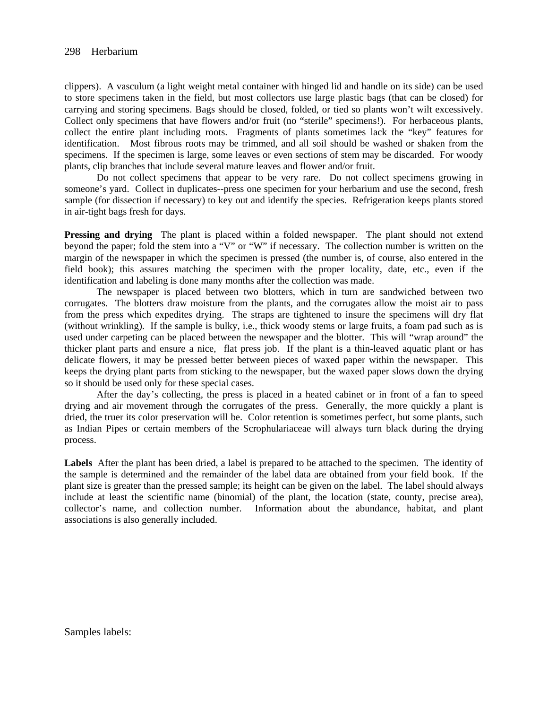clippers). A vasculum (a light weight metal container with hinged lid and handle on its side) can be used to store specimens taken in the field, but most collectors use large plastic bags (that can be closed) for carrying and storing specimens. Bags should be closed, folded, or tied so plants won't wilt excessively. Collect only specimens that have flowers and/or fruit (no "sterile" specimens!). For herbaceous plants, collect the entire plant including roots. Fragments of plants sometimes lack the "key" features for identification. Most fibrous roots may be trimmed, and all soil should be washed or shaken from the specimens. If the specimen is large, some leaves or even sections of stem may be discarded. For woody plants, clip branches that include several mature leaves and flower and/or fruit.

 Do not collect specimens that appear to be very rare. Do not collect specimens growing in someone's yard. Collect in duplicates--press one specimen for your herbarium and use the second, fresh sample (for dissection if necessary) to key out and identify the species. Refrigeration keeps plants stored in air-tight bags fresh for days.

**Pressing and drying** The plant is placed within a folded newspaper. The plant should not extend beyond the paper; fold the stem into a "V" or "W" if necessary. The collection number is written on the margin of the newspaper in which the specimen is pressed (the number is, of course, also entered in the field book); this assures matching the specimen with the proper locality, date, etc., even if the identification and labeling is done many months after the collection was made.

 The newspaper is placed between two blotters, which in turn are sandwiched between two corrugates. The blotters draw moisture from the plants, and the corrugates allow the moist air to pass from the press which expedites drying. The straps are tightened to insure the specimens will dry flat (without wrinkling). If the sample is bulky, i.e., thick woody stems or large fruits, a foam pad such as is used under carpeting can be placed between the newspaper and the blotter. This will "wrap around" the thicker plant parts and ensure a nice, flat press job. If the plant is a thin-leaved aquatic plant or has delicate flowers, it may be pressed better between pieces of waxed paper within the newspaper. This keeps the drying plant parts from sticking to the newspaper, but the waxed paper slows down the drying so it should be used only for these special cases.

After the day's collecting, the press is placed in a heated cabinet or in front of a fan to speed drying and air movement through the corrugates of the press. Generally, the more quickly a plant is dried, the truer its color preservation will be. Color retention is sometimes perfect, but some plants, such as Indian Pipes or certain members of the Scrophulariaceae will always turn black during the drying process.

**Labels** After the plant has been dried, a label is prepared to be attached to the specimen. The identity of the sample is determined and the remainder of the label data are obtained from your field book. If the plant size is greater than the pressed sample; its height can be given on the label. The label should always include at least the scientific name (binomial) of the plant, the location (state, county, precise area), collector's name, and collection number. Information about the abundance, habitat, and plant associations is also generally included.

Samples labels: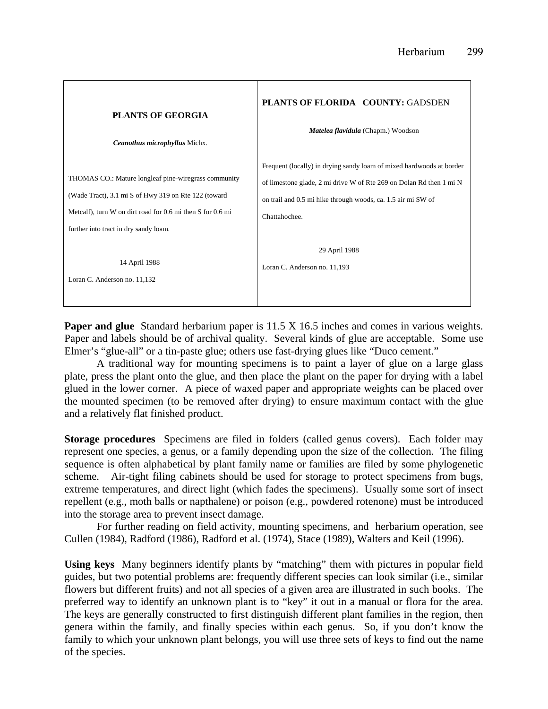

**Paper and glue** Standard herbarium paper is 11.5 X 16.5 inches and comes in various weights. Paper and labels should be of archival quality. Several kinds of glue are acceptable. Some use Elmer's "glue-all" or a tin-paste glue; others use fast-drying glues like "Duco cement."

 A traditional way for mounting specimens is to paint a layer of glue on a large glass plate, press the plant onto the glue, and then place the plant on the paper for drying with a label glued in the lower corner. A piece of waxed paper and appropriate weights can be placed over the mounted specimen (to be removed after drying) to ensure maximum contact with the glue and a relatively flat finished product.

**Storage procedures** Specimens are filed in folders (called genus covers). Each folder may represent one species, a genus, or a family depending upon the size of the collection. The filing sequence is often alphabetical by plant family name or families are filed by some phylogenetic scheme. Air-tight filing cabinets should be used for storage to protect specimens from bugs, extreme temperatures, and direct light (which fades the specimens). Usually some sort of insect repellent (e.g., moth balls or napthalene) or poison (e.g., powdered rotenone) must be introduced into the storage area to prevent insect damage.

 For further reading on field activity, mounting specimens, and herbarium operation, see Cullen (1984), Radford (1986), Radford et al. (1974), Stace (1989), Walters and Keil (1996).

**Using keys** Many beginners identify plants by "matching" them with pictures in popular field guides, but two potential problems are: frequently different species can look similar (i.e., similar flowers but different fruits) and not all species of a given area are illustrated in such books. The preferred way to identify an unknown plant is to "key" it out in a manual or flora for the area. The keys are generally constructed to first distinguish different plant families in the region, then genera within the family, and finally species within each genus. So, if you don't know the family to which your unknown plant belongs, you will use three sets of keys to find out the name of the species.